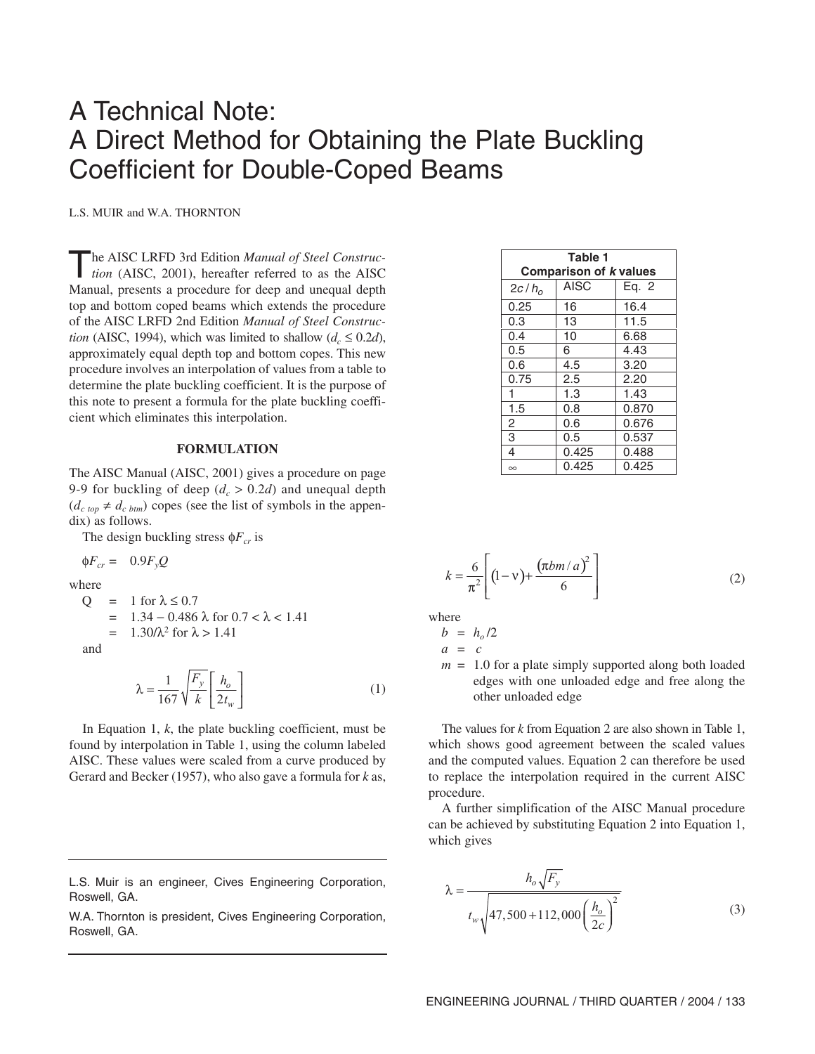# A Technical Note: A Direct Method for Obtaining the Plate Buckling Coefficient for Double-Coped Beams

L.S. MUIR and W.A. THORNTON

The AISC LRFD 3rd Edition *Manual of Steel Construc-tion* (AISC, 2001), hereafter referred to as the AISC Manual, presents a procedure for deep and unequal depth top and bottom coped beams which extends the procedure of the AISC LRFD 2nd Edition *Manual of Steel Construction* (AISC, 1994), which was limited to shallow ( $d_c \leq 0.2d$ ), approximately equal depth top and bottom copes. This new procedure involves an interpolation of values from a table to determine the plate buckling coefficient. It is the purpose of this note to present a formula for the plate buckling coefficient which eliminates this interpolation.

#### **FORMULATION**

The AISC Manual (AISC, 2001) gives a procedure on page 9-9 for buckling of deep  $(d_c > 0.2d)$  and unequal depth  $(d_{c\; top} \neq d_{c\; btm})$  copes (see the list of symbols in the appendix) as follows.

The design buckling stress  $\phi F_{cr}$  is

 $\oint F_{cr} = 0.9 F_v Q$ 

where

Q = 1 for 
$$
\lambda \le 0.7
$$
  
= 1.34 - 0.486  $\lambda$  for  $0.7 < \lambda < 1.41$   
= 1.30/ $\lambda^2$  for  $\lambda > 1.41$ 

and

$$
\lambda = \frac{1}{167} \sqrt{\frac{F_y}{k}} \left[ \frac{h_o}{2t_w} \right] \tag{1}
$$

In Equation 1, *k*, the plate buckling coefficient, must be found by interpolation in Table 1, using the column labeled AISC. These values were scaled from a curve produced by Gerard and Becker (1957), who also gave a formula for *k* as,

W.A. Thornton is president, Cives Engineering Corporation, Roswell, GA.

| Table 1                       |             |       |
|-------------------------------|-------------|-------|
| <b>Comparison of k values</b> |             |       |
| 2c/h <sub>o</sub>             | <b>AISC</b> | Eg. 2 |
| 0.25                          | 16          | 16.4  |
| 0.3                           | 13          | 11.5  |
| 0.4                           | 10          | 6.68  |
| 0.5                           | 6           | 4.43  |
| 0.6                           | 4.5         | 3.20  |
| 0.75                          | 2.5         | 2.20  |
| 1                             | 1.3         | 1.43  |
| 1.5                           | 0.8         | 0.870 |
| $\overline{2}$                | 0.6         | 0.676 |
| 3                             | 0.5         | 0.537 |
| 4                             | 0.425       | 0.488 |
| $\infty$                      | 0.425       | 0.425 |

$$
k = \frac{6}{\pi^2} \left[ (1 - v) + \frac{(\pi b m / a)^2}{6} \right]
$$
 (2)

where

$$
b~=~h_o/2
$$

$$
a = c
$$

 $m = 1.0$  for a plate simply supported along both loaded edges with one unloaded edge and free along the other unloaded edge

The values for *k* from Equation 2 are also shown in Table 1, which shows good agreement between the scaled values and the computed values. Equation 2 can therefore be used to replace the interpolation required in the current AISC procedure.

A further simplification of the AISC Manual procedure can be achieved by substituting Equation 2 into Equation 1, which gives

$$
\lambda = \frac{h_o \sqrt{F_y}}{t_w \sqrt{47,500 + 112,000 \left(\frac{h_o}{2c}\right)^2}}
$$
(3)

L.S. Muir is an engineer, Cives Engineering Corporation, Roswell, GA.